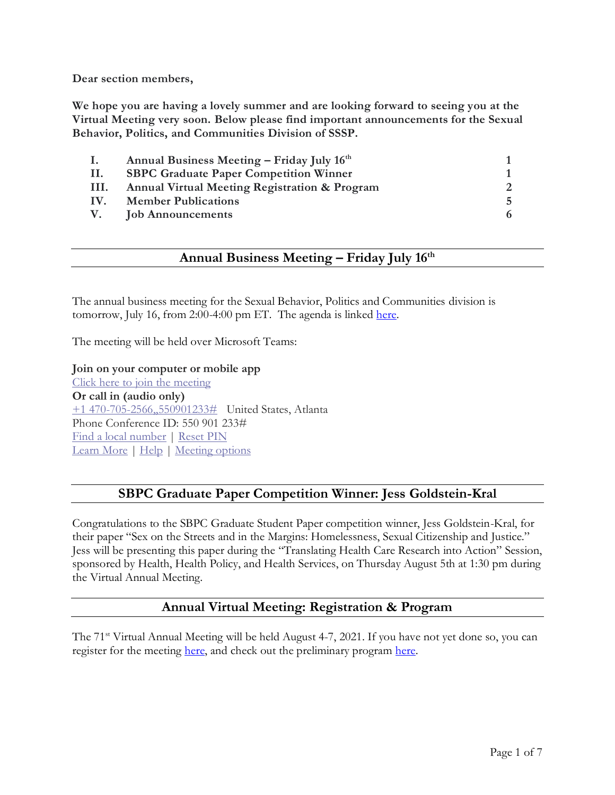**Dear section members,**

**We hope you are having a lovely summer and are looking forward to seeing you at the Virtual Meeting very soon. Below please find important announcements for the Sexual Behavior, Politics, and Communities Division of SSSP.** 

| $\mathbf{I}$ . | Annual Business Meeting – Friday July 16th               |    |
|----------------|----------------------------------------------------------|----|
| Н.             | <b>SBPC Graduate Paper Competition Winner</b>            |    |
| III.           | <b>Annual Virtual Meeting Registration &amp; Program</b> |    |
| IV.            | <b>Member Publications</b>                               | Б. |
|                | V. Job Announcements                                     |    |

# **Annual Business Meeting – Friday July 16th**

The annual business meeting for the Sexual Behavior, Politics and Communities division is tomorrow, July 16, from 2:00-4:00 pm ET. The agenda is linked [here.](https://gtvault-my.sharepoint.com/personal/dbaunach3_gatech_edu/_layouts/15/onedrive.aspx?id=%2Fpersonal%2Fdbaunach3%5Fgatech%5Fedu%2FDocuments%2FDesktop%2FAgenda%5FAnnual%20Business%20Meeting%5F16%20July%202021%2Epdf&parent=%2Fpersonal%2Fdbaunach3%5Fgatech%5Fedu%2FDocuments%2FDesktop&originalPath=aHR0cHM6Ly9ndHZhdWx0LW15LnNoYXJlcG9pbnQuY29tLzpiOi9nL3BlcnNvbmFsL2RiYXVuYWNoM19nYXRlY2hfZWR1L0VYVXNSSTVGUjN0TGdZRDRVMWJfT3RFQmJ2RnlPZHBvTmNnZ0thdDI1U2U5cVE%5FcnRpbWU9eWlhVDY3TkgyVWc)

The meeting will be held over Microsoft Teams:

#### **Join on your computer or mobile app**

[Click here to join the meeting](https://nam04.safelinks.protection.outlook.com/ap/t-59584e83/?url=https%3A%2F%2Fteams.microsoft.com%2Fl%2Fmeetup-join%2F19%253ameeting_MzlkNjk0NjctMDJiNy00N2E3LTg5NGQtZjcxNWE2MzEzZTQy%2540thread.v2%2F0%3Fcontext%3D%257b%2522Tid%2522%253a%2522482198bb-ae7b-4b25-8b7a-6d7f32faa083%2522%252c%2522Oid%2522%253a%25222ac734ed-a05e-4fd1-96ae-88be6dfff8cf%2522%257d&data=04%7C01%7Cmdanie26%40groute.uic.edu%7C96459f074db24d42505508d932664924%7Ce202cd477a564baa99e3e3b71a7c77dd%7C0%7C0%7C637596237191633013%7CUnknown%7CTWFpbGZsb3d8eyJWIjoiMC4wLjAwMDAiLCJQIjoiV2luMzIiLCJBTiI6Ik1haWwiLCJXVCI6Mn0%3D%7C1000&sdata=2yGfpIJhppUl8B2novcqGfz1fPsAAaUFT0JOrV2upIQ%3D&reserved=0) **Or call in (audio only)** [+1 470-705-2566,,550901233#](tel:+14707052566,,550901233%23) United States, Atlanta Phone Conference ID: 550 901 233# [Find a local number](https://nam04.safelinks.protection.outlook.com/?url=https%3A%2F%2Fdialin.teams.microsoft.com%2F42afbc41-db95-4099-bc31-3212cb4e5b8b%3Fid%3D550901233&data=04%7C01%7Cmdanie26%40groute.uic.edu%7C96459f074db24d42505508d932664924%7Ce202cd477a564baa99e3e3b71a7c77dd%7C0%7C0%7C637596237191643005%7CUnknown%7CTWFpbGZsb3d8eyJWIjoiMC4wLjAwMDAiLCJQIjoiV2luMzIiLCJBTiI6Ik1haWwiLCJXVCI6Mn0%3D%7C1000&sdata=kb5YKDobkSyXTCqg2XpO27ChNn2VS4UYl57aDsDomlo%3D&reserved=0) | [Reset PIN](https://nam04.safelinks.protection.outlook.com/?url=https%3A%2F%2Fmysettings.lync.com%2Fpstnconferencing&data=04%7C01%7Cmdanie26%40groute.uic.edu%7C96459f074db24d42505508d932664924%7Ce202cd477a564baa99e3e3b71a7c77dd%7C0%7C0%7C637596237191653002%7CUnknown%7CTWFpbGZsb3d8eyJWIjoiMC4wLjAwMDAiLCJQIjoiV2luMzIiLCJBTiI6Ik1haWwiLCJXVCI6Mn0%3D%7C1000&sdata=NZi%2B43%2ByGgUhUPtyub2ReFbJZxtfusMH9hOdZ0XroK4%3D&reserved=0) [Learn More](https://nam04.safelinks.protection.outlook.com/?url=https%3A%2F%2Faka.ms%2FJoinTeamsMeeting&data=04%7C01%7Cmdanie26%40groute.uic.edu%7C96459f074db24d42505508d932664924%7Ce202cd477a564baa99e3e3b71a7c77dd%7C0%7C0%7C637596237191662999%7CUnknown%7CTWFpbGZsb3d8eyJWIjoiMC4wLjAwMDAiLCJQIjoiV2luMzIiLCJBTiI6Ik1haWwiLCJXVCI6Mn0%3D%7C1000&sdata=DVHoT5Ei5SrQFFWG5rWkWXkPLv5ifw%2F4frhP%2B%2BmGZSc%3D&reserved=0) | [Help](https://nam04.safelinks.protection.outlook.com/?url=https%3A%2F%2Fservices.gatech.edu%2F&data=04%7C01%7Cmdanie26%40groute.uic.edu%7C96459f074db24d42505508d932664924%7Ce202cd477a564baa99e3e3b71a7c77dd%7C0%7C0%7C637596237191662999%7CUnknown%7CTWFpbGZsb3d8eyJWIjoiMC4wLjAwMDAiLCJQIjoiV2luMzIiLCJBTiI6Ik1haWwiLCJXVCI6Mn0%3D%7C1000&sdata=r%2BaWDsZxozqvlimnb2EHHkmQFG2dt0aTAuesDuHooDc%3D&reserved=0) | [Meeting options](https://nam04.safelinks.protection.outlook.com/?url=https%3A%2F%2Fteams.microsoft.com%2FmeetingOptions%2F%3ForganizerId%3D2ac734ed-a05e-4fd1-96ae-88be6dfff8cf%26tenantId%3D482198bb-ae7b-4b25-8b7a-6d7f32faa083%26threadId%3D19_meeting_MzlkNjk0NjctMDJiNy00N2E3LTg5NGQtZjcxNWE2MzEzZTQy%40thread.v2%26messageId%3D0%26language%3Den-US&data=04%7C01%7Cmdanie26%40groute.uic.edu%7C96459f074db24d42505508d932664924%7Ce202cd477a564baa99e3e3b71a7c77dd%7C0%7C0%7C637596237191672991%7CUnknown%7CTWFpbGZsb3d8eyJWIjoiMC4wLjAwMDAiLCJQIjoiV2luMzIiLCJBTiI6Ik1haWwiLCJXVCI6Mn0%3D%7C1000&sdata=dtaBf%2FnrBusYouyguz2w59daWFbmeYYjraNzcwudwSc%3D&reserved=0)

# **SBPC Graduate Paper Competition Winner: Jess Goldstein-Kral**

Congratulations to the SBPC Graduate Student Paper competition winner, Jess Goldstein-Kral, for their paper "Sex on the Streets and in the Margins: Homelessness, Sexual Citizenship and Justice." Jess will be presenting this paper during the "Translating Health Care Research into Action" Session, sponsored by Health, Health Policy, and Health Services, on Thursday August 5th at 1:30 pm during the Virtual Annual Meeting.

## **Annual Virtual Meeting: Registration & Program**

The 71<sup>st</sup> Virtual Annual Meeting will be held August 4-7, 2021. If you have not yet done so, you can register for the meeting [here,](https://www.sssp1.org/index.cfm/m/856/fuseaction/ssspconf.portal) and check out the preliminary program [here.](https://www.sssp1.org/index.cfm/m/862/2021_Virtual_Preliminary_Program/)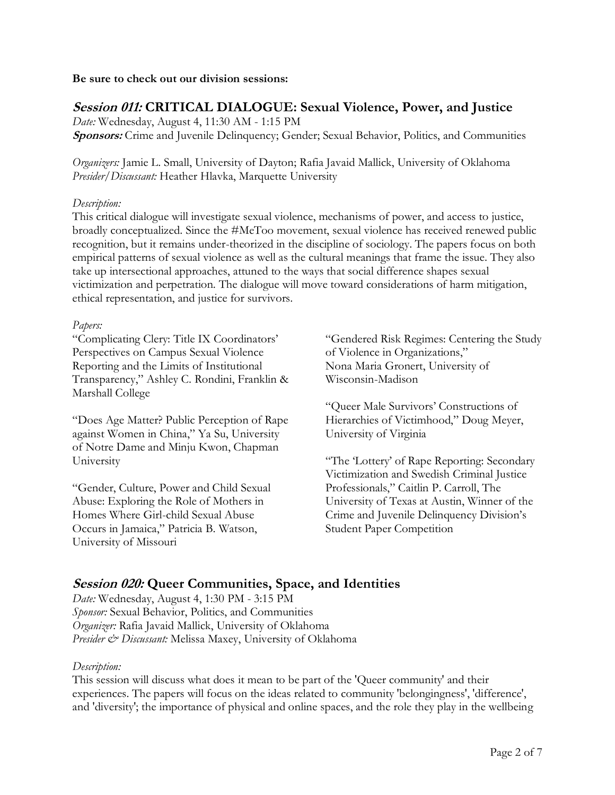#### **Be sure to check out our division sessions:**

# **Session 011: CRITICAL DIALOGUE: Sexual Violence, Power, and Justice**

*Date:* Wednesday, August 4, 11:30 AM - 1:15 PM **Sponsors:** Crime and Juvenile Delinquency; Gender; Sexual Behavior, Politics, and Communities

*Organizers:* Jamie L. Small, University of Dayton; Rafia Javaid Mallick, University of Oklahoma *Presider/Discussant:* Heather Hlavka, Marquette University

### *Description:*

This critical dialogue will investigate sexual violence, mechanisms of power, and access to justice, broadly conceptualized. Since the #MeToo movement, sexual violence has received renewed public recognition, but it remains under-theorized in the discipline of sociology. The papers focus on both empirical patterns of sexual violence as well as the cultural meanings that frame the issue. They also take up intersectional approaches, attuned to the ways that social difference shapes sexual victimization and perpetration. The dialogue will move toward considerations of harm mitigation, ethical representation, and justice for survivors.

#### *Papers:*

"Complicating Clery: Title IX Coordinators' Perspectives on Campus Sexual Violence Reporting and the Limits of Institutional Transparency," Ashley C. Rondini, Franklin & Marshall College

"Does Age Matter? Public Perception of Rape against Women in China," Ya Su, University of Notre Dame and Minju Kwon, Chapman University

"Gender, Culture, Power and Child Sexual Abuse: Exploring the Role of Mothers in Homes Where Girl-child Sexual Abuse Occurs in Jamaica," Patricia B. Watson, University of Missouri

"Gendered Risk Regimes: Centering the Study of Violence in Organizations," Nona Maria Gronert, University of Wisconsin-Madison

"Queer Male Survivors' Constructions of Hierarchies of Victimhood," Doug Meyer, University of Virginia

"The 'Lottery' of Rape Reporting: Secondary Victimization and Swedish Criminal Justice Professionals," Caitlin P. Carroll, The University of Texas at Austin, Winner of the Crime and Juvenile Delinquency Division's Student Paper Competition

# **Session 020: Queer Communities, Space, and Identities**

*Date:* Wednesday, August 4, 1:30 PM - 3:15 PM *Sponsor:* Sexual Behavior, Politics, and Communities *Organizer:* Rafia Javaid Mallick, University of Oklahoma *Presider & Discussant:* Melissa Maxey, University of Oklahoma

## *Description:*

This session will discuss what does it mean to be part of the 'Queer community' and their experiences. The papers will focus on the ideas related to community 'belongingness', 'difference', and 'diversity'; the importance of physical and online spaces, and the role they play in the wellbeing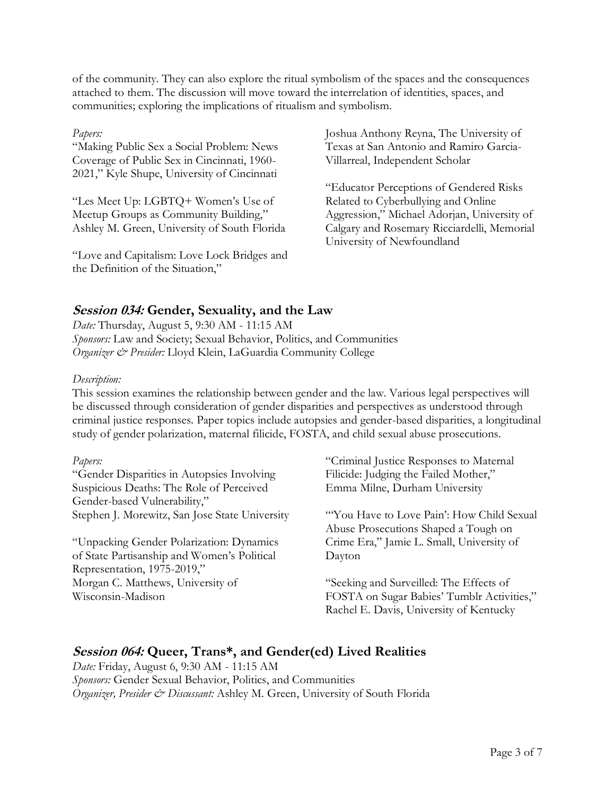of the community. They can also explore the ritual symbolism of the spaces and the consequences attached to them. The discussion will move toward the interrelation of identities, spaces, and communities; exploring the implications of ritualism and symbolism.

#### *Papers:*

"Making Public Sex a Social Problem: News Coverage of Public Sex in Cincinnati, 1960- 2021," Kyle Shupe, University of Cincinnati

"Les Meet Up: LGBTQ+ Women's Use of Meetup Groups as Community Building," Ashley M. Green, University of South Florida

"Love and Capitalism: Love Lock Bridges and the Definition of the Situation,"

Joshua Anthony Reyna, The University of Texas at San Antonio and Ramiro Garcia-Villarreal, Independent Scholar

"Educator Perceptions of Gendered Risks Related to Cyberbullying and Online Aggression," Michael Adorjan, University of Calgary and Rosemary Ricciardelli, Memorial University of Newfoundland

# **Session 034: Gender, Sexuality, and the Law**

*Date:* Thursday, August 5, 9:30 AM - 11:15 AM *Sponsors:* Law and Society; Sexual Behavior, Politics, and Communities *Organizer & Presider:* Lloyd Klein, LaGuardia Community College

#### *Description:*

This session examines the relationship between gender and the law. Various legal perspectives will be discussed through consideration of gender disparities and perspectives as understood through criminal justice responses. Paper topics include autopsies and gender-based disparities, a longitudinal study of gender polarization, maternal filicide, FOSTA, and child sexual abuse prosecutions.

## *Papers:*

"Gender Disparities in Autopsies Involving Suspicious Deaths: The Role of Perceived Gender-based Vulnerability," Stephen J. Morewitz, San Jose State University

"Unpacking Gender Polarization: Dynamics of State Partisanship and Women's Political Representation, 1975-2019," Morgan C. Matthews, University of Wisconsin-Madison

"Criminal Justice Responses to Maternal Filicide: Judging the Failed Mother," Emma Milne, Durham University

"You Have to Love Pain': How Child Sexual Abuse Prosecutions Shaped a Tough on Crime Era," Jamie L. Small, University of Dayton

"Seeking and Surveilled: The Effects of FOSTA on Sugar Babies' Tumblr Activities," Rachel E. Davis, University of Kentucky

# **Session 064: Queer, Trans\*, and Gender(ed) Lived Realities**

*Date:* Friday, August 6, 9:30 AM - 11:15 AM *Sponsors:* Gender Sexual Behavior, Politics, and Communities *Organizer, Presider & Discussant:* Ashley M. Green, University of South Florida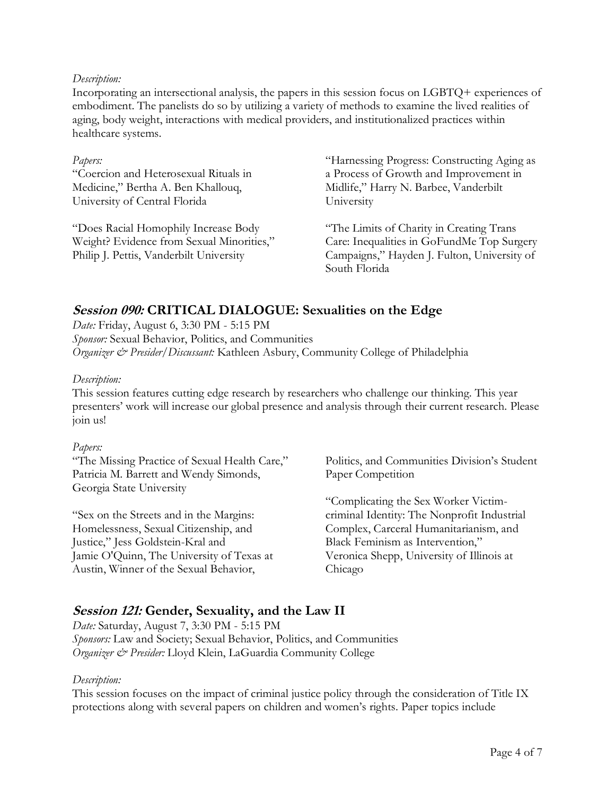#### *Description:*

Incorporating an intersectional analysis, the papers in this session focus on LGBTQ+ experiences of embodiment. The panelists do so by utilizing a variety of methods to examine the lived realities of aging, body weight, interactions with medical providers, and institutionalized practices within healthcare systems.

#### *Papers:*

"Coercion and Heterosexual Rituals in Medicine," Bertha A. Ben Khallouq, University of Central Florida

"Does Racial Homophily Increase Body Weight? Evidence from Sexual Minorities," Philip J. Pettis, Vanderbilt University

"Harnessing Progress: Constructing Aging as a Process of Growth and Improvement in Midlife," Harry N. Barbee, Vanderbilt University

"The Limits of Charity in Creating Trans Care: Inequalities in GoFundMe Top Surgery Campaigns," Hayden J. Fulton, University of South Florida

# **Session 090: CRITICAL DIALOGUE: Sexualities on the Edge**

*Date:* Friday, August 6, 3:30 PM - 5:15 PM *Sponsor:* Sexual Behavior, Politics, and Communities *Organizer & Presider/Discussant:* Kathleen Asbury, Community College of Philadelphia

#### *Description:*

This session features cutting edge research by researchers who challenge our thinking. This year presenters' work will increase our global presence and analysis through their current research. Please join us!

#### *Papers:*

"The Missing Practice of Sexual Health Care," Patricia M. Barrett and Wendy Simonds, Georgia State University

"Sex on the Streets and in the Margins: Homelessness, Sexual Citizenship, and Justice," Jess Goldstein-Kral and Jamie O'Quinn, The University of Texas at Austin, Winner of the Sexual Behavior,

Politics, and Communities Division's Student Paper Competition

"Complicating the Sex Worker Victimcriminal Identity: The Nonprofit Industrial Complex, Carceral Humanitarianism, and Black Feminism as Intervention," Veronica Shepp, University of Illinois at Chicago

# **Session 121: Gender, Sexuality, and the Law II**

*Date:* Saturday, August 7, 3:30 PM - 5:15 PM *Sponsors:* Law and Society; Sexual Behavior, Politics, and Communities *Organizer & Presider:* Lloyd Klein, LaGuardia Community College

## *Description:*

This session focuses on the impact of criminal justice policy through the consideration of Title IX protections along with several papers on children and women's rights. Paper topics include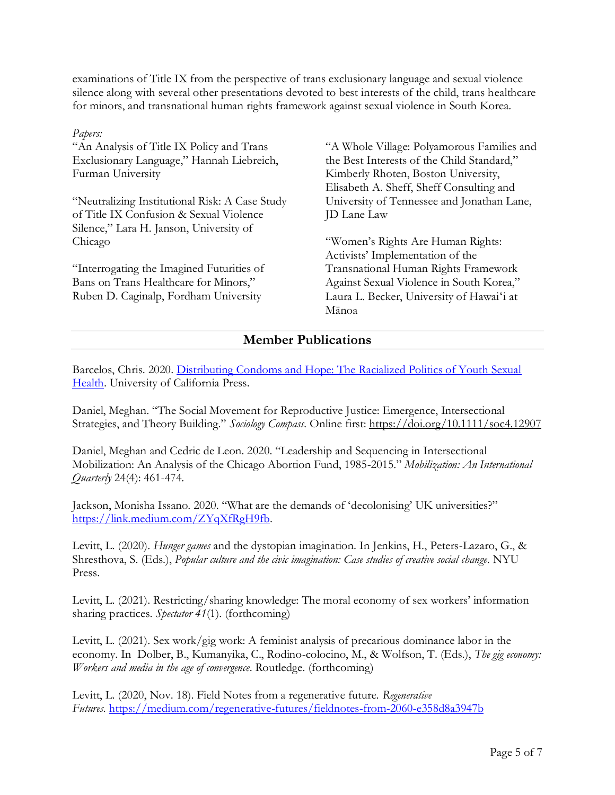examinations of Title IX from the perspective of trans exclusionary language and sexual violence silence along with several other presentations devoted to best interests of the child, trans healthcare for minors, and transnational human rights framework against sexual violence in South Korea.

*Papers:* "An Analysis of Title IX Policy and Trans Exclusionary Language," Hannah Liebreich, Furman University

"Neutralizing Institutional Risk: A Case Study of Title IX Confusion & Sexual Violence Silence," Lara H. Janson, University of Chicago

"Interrogating the Imagined Futurities of Bans on Trans Healthcare for Minors," Ruben D. Caginalp, Fordham University

"A Whole Village: Polyamorous Families and the Best Interests of the Child Standard," Kimberly Rhoten, Boston University, Elisabeth A. Sheff, Sheff Consulting and University of Tennessee and Jonathan Lane, JD Lane Law

"Women's Rights Are Human Rights: Activists' Implementation of the Transnational Human Rights Framework Against Sexual Violence in South Korea," Laura L. Becker, University of Hawaiʻi at Mānoa

# **Member Publications**

Barcelos, Chris. 2020. Distributing Condoms and Hope: The Racialized Politics of Youth Sexual [Health.](https://www.ucpress.edu/book/9780520306714/distributing-condoms-and-hope) University of California Press.

Daniel, Meghan. "The Social Movement for Reproductive Justice: Emergence, Intersectional Strategies, and Theory Building." *Sociology Compass.* Online first:<https://doi.org/10.1111/soc4.12907>

Daniel, Meghan and Cedric de Leon. 2020. "Leadership and Sequencing in Intersectional Mobilization: An Analysis of the Chicago Abortion Fund, 1985-2015." *Mobilization: An International Quarterly* 24(4): 461-474.

Jackson, Monisha Issano. 2020. "What are the demands of 'decolonising' UK universities?" [https://link.medium.com/ZYqXfRgH9fb.](https://link.medium.com/ZYqXfRgH9fb)

Levitt, L. (2020). *Hunger games* and the dystopian imagination. In Jenkins, H., Peters-Lazaro, G., & Shresthova, S. (Eds.), *Popular culture and the civic imagination: Case studies of creative social change*. NYU Press.

Levitt, L. (2021). Restricting/sharing knowledge: The moral economy of sex workers' information sharing practices. *Spectator 41*(1). (forthcoming)

Levitt, L. (2021). Sex work/gig work: A feminist analysis of precarious dominance labor in the economy. In Dolber, B., Kumanyika, C., Rodino-colocino, M., & Wolfson, T. (Eds.), *The gig economy: Workers and media in the age of convergence*. Routledge. (forthcoming)

Levitt, L. (2020, Nov. 18). Field Notes from a regenerative future. *Regenerative Futures.* <https://medium.com/regenerative-futures/fieldnotes-from-2060-e358d8a3947b>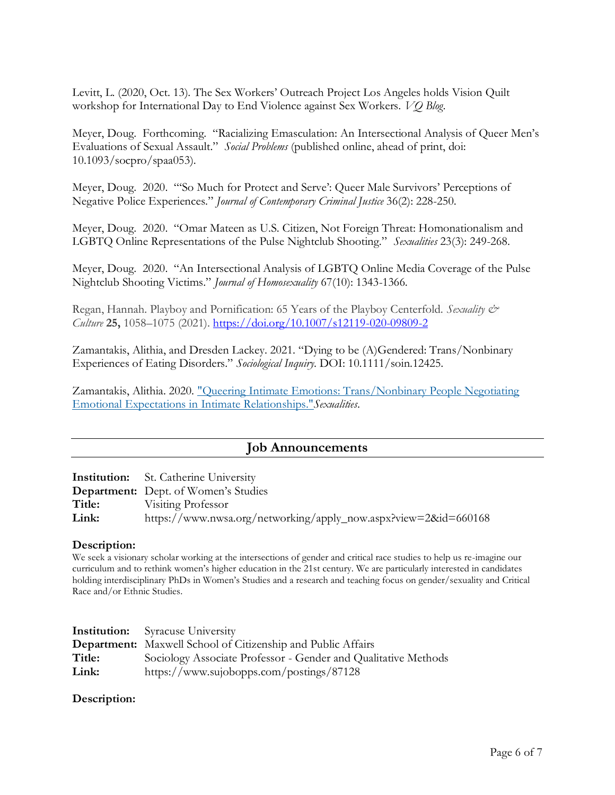Levitt, L. (2020, Oct. 13). The Sex Workers' Outreach Project Los Angeles holds Vision Quilt workshop for International Day to End Violence against Sex Workers. *VQ Blog*.

Meyer, Doug. Forthcoming. "Racializing Emasculation: An Intersectional Analysis of Queer Men's Evaluations of Sexual Assault." *Social Problems* (published online, ahead of print, doi: 10.1093/socpro/spaa053).

Meyer, Doug. 2020. "'So Much for Protect and Serve': Queer Male Survivors' Perceptions of Negative Police Experiences." *Journal of Contemporary Criminal Justice* 36(2): 228-250.

Meyer, Doug. 2020. "Omar Mateen as U.S. Citizen, Not Foreign Threat: Homonationalism and LGBTQ Online Representations of the Pulse Nightclub Shooting." *Sexualities* 23(3): 249-268.

Meyer, Doug. 2020. "An Intersectional Analysis of LGBTQ Online Media Coverage of the Pulse Nightclub Shooting Victims." *Journal of Homosexuality* 67(10): 1343-1366.

Regan, Hannah. Playboy and Pornification: 65 Years of the Playboy Centerfold. *Sexuality & Culture* **25,** 1058–1075 (2021). <https://doi.org/10.1007/s12119-020-09809-2>

Zamantakis, Alithia, and Dresden Lackey. 2021. "Dying to be (A)Gendered: Trans/Nonbinary Experiences of Eating Disorders." *Sociological Inquiry*. DOI: 10.1111/soin.12425.

Zamantakis, Alithia. 2020. ["Queering Intimate Emotions: Trans/Nonbinary People Negotiating](https://l.facebook.com/l.php?u=https%3A%2F%2Fdoi.org%2F10.1177%2F1363460720979307%3Ffbclid%3DIwAR353GHfIlAB9vuXuQWncKED9c1OLh4P0zFLWhtBkHzrMTJ5V4UQvlCmh8A&h=AT0SDtEosm6uLdi7pZ31YFF5KtKyIdNQeg7OTGk0xIgsVks-09GUSxtCIqqyBhgIcSQAylECsOi5-FbwFDHmJEjQHyJJaRAIqdkcoCt34n9uwfI155ksF1MLblR5Sb7pDdiEgNF_2YmuFs88CaimnKrc8Q&__tn__=H-R&c%5B0%5D=AT15ndPACjtvUP7iynGa4etNVs5Mvl_RY-R-uVsj3l2RSpE9S4gD6EonvdnnFZcx1pY0ZmADW0X75n92HbT2RIzP15DPEKZmXJkv3aih81Lsr-Y5GcjMk8GBIdMI_WxnaHUC1GdFLHJbrfFkfdgU_bTfgA)  [Emotional Expectations in](https://l.facebook.com/l.php?u=https%3A%2F%2Fdoi.org%2F10.1177%2F1363460720979307%3Ffbclid%3DIwAR353GHfIlAB9vuXuQWncKED9c1OLh4P0zFLWhtBkHzrMTJ5V4UQvlCmh8A&h=AT0SDtEosm6uLdi7pZ31YFF5KtKyIdNQeg7OTGk0xIgsVks-09GUSxtCIqqyBhgIcSQAylECsOi5-FbwFDHmJEjQHyJJaRAIqdkcoCt34n9uwfI155ksF1MLblR5Sb7pDdiEgNF_2YmuFs88CaimnKrc8Q&__tn__=H-R&c%5B0%5D=AT15ndPACjtvUP7iynGa4etNVs5Mvl_RY-R-uVsj3l2RSpE9S4gD6EonvdnnFZcx1pY0ZmADW0X75n92HbT2RIzP15DPEKZmXJkv3aih81Lsr-Y5GcjMk8GBIdMI_WxnaHUC1GdFLHJbrfFkfdgU_bTfgA) Intimate Relationships."*Sexualities*.

# **Job Announcements**

**Institution:** St. Catherine University

**Department:** Dept. of Women's Studies **Title:** Visiting Professor **Link:** https://www.nwsa.org/networking/apply\_now.aspx?view=2&id=660168

#### **Description:**

We seek a visionary scholar working at the intersections of gender and critical race studies to help us re-imagine our curriculum and to rethink women's higher education in the 21st century. We are particularly interested in candidates holding interdisciplinary PhDs in Women's Studies and a research and teaching focus on gender/sexuality and Critical Race and/or Ethnic Studies.

|        | <b>Institution:</b> Syracuse University                             |
|--------|---------------------------------------------------------------------|
|        | <b>Department:</b> Maxwell School of Citizenship and Public Affairs |
| Title: | Sociology Associate Professor - Gender and Qualitative Methods      |
| Link:  | https://www.sujobopps.com/postings/87128                            |

## **Description:**